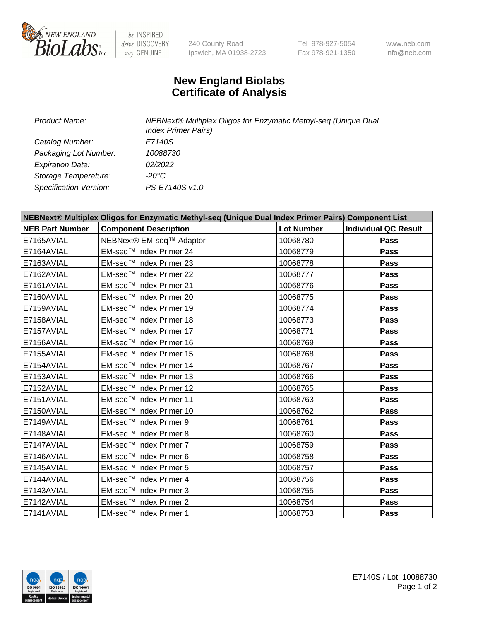

 $be$  INSPIRED drive DISCOVERY stay GENUINE

240 County Road Ipswich, MA 01938-2723 Tel 978-927-5054 Fax 978-921-1350 www.neb.com info@neb.com

## **New England Biolabs Certificate of Analysis**

| Product Name:           | NEBNext® Multiplex Oligos for Enzymatic Methyl-seq (Unique Dual<br><b>Index Primer Pairs)</b> |
|-------------------------|-----------------------------------------------------------------------------------------------|
| Catalog Number:         | E7140S                                                                                        |
| Packaging Lot Number:   | 10088730                                                                                      |
| <b>Expiration Date:</b> | 02/2022                                                                                       |
| Storage Temperature:    | -20°C                                                                                         |
| Specification Version:  | PS-E7140S v1.0                                                                                |

| NEBNext® Multiplex Oligos for Enzymatic Methyl-seq (Unique Dual Index Primer Pairs) Component List |                              |                   |                             |  |
|----------------------------------------------------------------------------------------------------|------------------------------|-------------------|-----------------------------|--|
| <b>NEB Part Number</b>                                                                             | <b>Component Description</b> | <b>Lot Number</b> | <b>Individual QC Result</b> |  |
| E7165AVIAL                                                                                         | NEBNext® EM-seq™ Adaptor     | 10068780          | Pass                        |  |
| E7164AVIAL                                                                                         | EM-seq™ Index Primer 24      | 10068779          | Pass                        |  |
| E7163AVIAL                                                                                         | EM-seq™ Index Primer 23      | 10068778          | Pass                        |  |
| E7162AVIAL                                                                                         | EM-seq™ Index Primer 22      | 10068777          | Pass                        |  |
| E7161AVIAL                                                                                         | EM-seq™ Index Primer 21      | 10068776          | Pass                        |  |
| E7160AVIAL                                                                                         | EM-seq™ Index Primer 20      | 10068775          | Pass                        |  |
| E7159AVIAL                                                                                         | EM-seq™ Index Primer 19      | 10068774          | Pass                        |  |
| E7158AVIAL                                                                                         | EM-seq™ Index Primer 18      | 10068773          | Pass                        |  |
| E7157AVIAL                                                                                         | EM-seq™ Index Primer 17      | 10068771          | Pass                        |  |
| E7156AVIAL                                                                                         | EM-seq™ Index Primer 16      | 10068769          | Pass                        |  |
| E7155AVIAL                                                                                         | EM-seq™ Index Primer 15      | 10068768          | <b>Pass</b>                 |  |
| E7154AVIAL                                                                                         | EM-seq™ Index Primer 14      | 10068767          | Pass                        |  |
| E7153AVIAL                                                                                         | EM-seq™ Index Primer 13      | 10068766          | Pass                        |  |
| E7152AVIAL                                                                                         | EM-seq™ Index Primer 12      | 10068765          | Pass                        |  |
| E7151AVIAL                                                                                         | EM-seq™ Index Primer 11      | 10068763          | Pass                        |  |
| E7150AVIAL                                                                                         | EM-seq™ Index Primer 10      | 10068762          | Pass                        |  |
| E7149AVIAL                                                                                         | EM-seq™ Index Primer 9       | 10068761          | Pass                        |  |
| E7148AVIAL                                                                                         | EM-seq™ Index Primer 8       | 10068760          | <b>Pass</b>                 |  |
| E7147AVIAL                                                                                         | EM-seq™ Index Primer 7       | 10068759          | Pass                        |  |
| E7146AVIAL                                                                                         | EM-seq™ Index Primer 6       | 10068758          | Pass                        |  |
| E7145AVIAL                                                                                         | EM-seq™ Index Primer 5       | 10068757          | <b>Pass</b>                 |  |
| E7144AVIAL                                                                                         | EM-seq™ Index Primer 4       | 10068756          | Pass                        |  |
| E7143AVIAL                                                                                         | EM-seq™ Index Primer 3       | 10068755          | Pass                        |  |
| E7142AVIAL                                                                                         | EM-seq™ Index Primer 2       | 10068754          | <b>Pass</b>                 |  |
| E7141AVIAL                                                                                         | EM-seq™ Index Primer 1       | 10068753          | <b>Pass</b>                 |  |